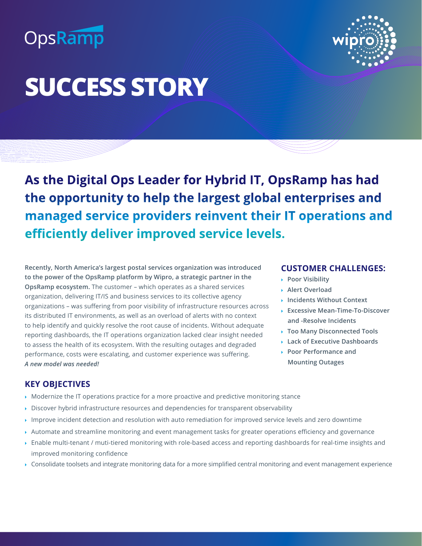## OpsRamp



# **SUCCESS STORY**

**As the Digital Ops Leader for Hybrid IT, OpsRamp has had the opportunity to help the largest global enterprises and managed service providers reinvent their IT operations and efficiently deliver improved service levels.** 

**Recently, North America's largest postal services organization was introduced to the power of the OpsRamp platform by Wipro, a strategic partner in the OpsRamp ecosystem.** The customer – which operates as a shared services organization, delivering IT/IS and business services to its collective agency organizations – was suffering from poor visibility of infrastructure resources across its distributed IT environments, as well as an overload of alerts with no context to help identify and quickly resolve the root cause of incidents. Without adequate reporting dashboards, the IT operations organization lacked clear insight needed to assess the health of its ecosystem. With the resulting outages and degraded performance, costs were escalating, and customer experience was suffering. *A new model was needed!*

#### **CUSTOMER CHALLENGES:**

- **Poor Visibility**
- **Alert Overload**
- **Incidents Without Context**
- **Excessive Mean-Time-To-Discover and -Resolve Incidents**
- **Too Many Disconnected Tools**
- **Lack of Executive Dashboards**
- **Poor Performance and Mounting Outages**

#### **KEY OBJECTIVES**

- Modernize the IT operations practice for a more proactive and predictive monitoring stance
- Discover hybrid infrastructure resources and dependencies for transparent observability
- Improve incident detection and resolution with auto remediation for improved service levels and zero downtime
- Automate and streamline monitoring and event management tasks for greater operations efficiency and governance
- Enable multi-tenant / muti-tiered monitoring with role-based access and reporting dashboards for real-time insights and improved monitoring confidence
- Consolidate toolsets and integrate monitoring data for a more simplified central monitoring and event management experience